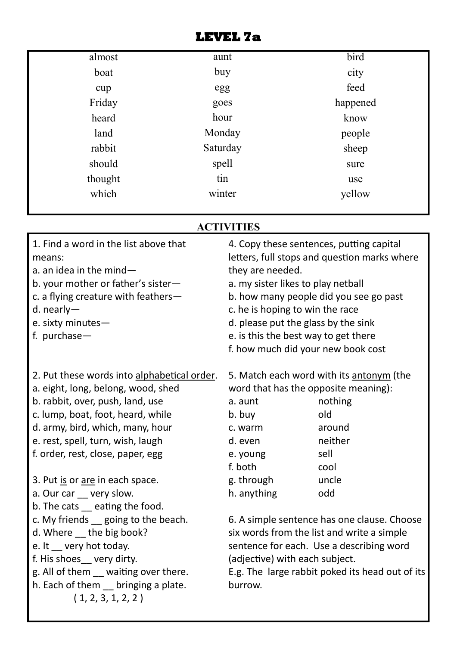| almost  | aunt             | bird     |  |
|---------|------------------|----------|--|
| boat    | buy              | city     |  |
| cup     | egg              | feed     |  |
| Friday  | goes             | happened |  |
| heard   | hour             | know     |  |
| land    | Monday           | people   |  |
| rabbit  | Saturday         | sheep    |  |
| should  | spell            | sure     |  |
| thought | tin              | use      |  |
| which   | winter<br>yellow |          |  |

## **ACTIVITIES**

| 1. Find a word in the list above that<br>means:<br>a. an idea in the mind $-$<br>b. your mother or father's sister-<br>c. a flying creature with feathers-<br>d. nearly-<br>e. sixty minutes-<br>f. purchase $-$                                                         | 4. Copy these sentences, putting capital<br>letters, full stops and question marks where<br>they are needed.<br>a. my sister likes to play netball<br>b. how many people did you see go past<br>c. he is hoping to win the race<br>d. please put the glass by the sink<br>e. is this the best way to get there<br>f. how much did your new book cost |                                                                                                 |  |  |
|--------------------------------------------------------------------------------------------------------------------------------------------------------------------------------------------------------------------------------------------------------------------------|------------------------------------------------------------------------------------------------------------------------------------------------------------------------------------------------------------------------------------------------------------------------------------------------------------------------------------------------------|-------------------------------------------------------------------------------------------------|--|--|
| 2. Put these words into alphabetical order.<br>a. eight, long, belong, wood, shed<br>b. rabbit, over, push, land, use<br>c. lump, boat, foot, heard, while<br>d. army, bird, which, many, hour<br>e. rest, spell, turn, wish, laugh<br>f. order, rest, close, paper, egg | word that has the opposite meaning):<br>a. aunt<br>b. buy<br>c. warm<br>d. even<br>e. young<br>f. both                                                                                                                                                                                                                                               | 5. Match each word with its antonym (the<br>nothing<br>old<br>around<br>neither<br>sell<br>cool |  |  |
| 3. Put is or are in each space.<br>a. Our car __ very slow.<br>b. The cats eating the food.                                                                                                                                                                              | g. through<br>h. anything                                                                                                                                                                                                                                                                                                                            | uncle<br>odd                                                                                    |  |  |
| c. My friends going to the beach.<br>d. Where the big book?<br>e. It very hot today.<br>f. His shoes__ very dirty.<br>g. All of them <u>waiting</u> over there.<br>h. Each of them _ bringing a plate.<br>(1, 2, 3, 1, 2, 2)                                             | 6. A simple sentence has one clause. Choose<br>six words from the list and write a simple<br>sentence for each. Use a describing word<br>(adjective) with each subject.<br>E.g. The large rabbit poked its head out of its<br>burrow.                                                                                                                |                                                                                                 |  |  |